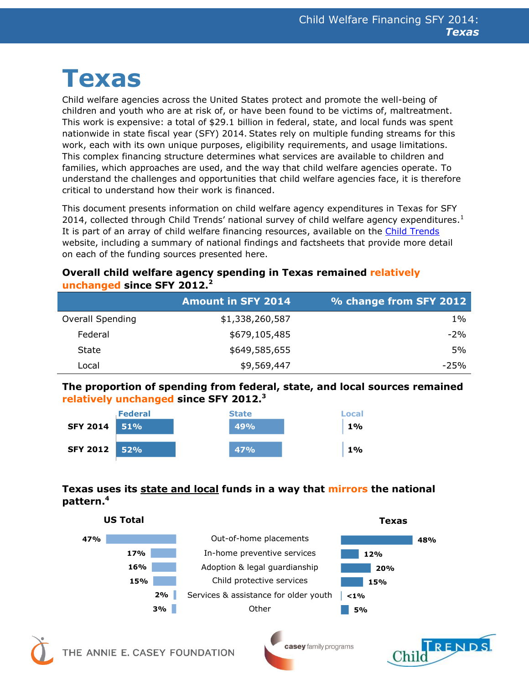# **Texas**

Child welfare agencies across the United States protect and promote the well-being of children and youth who are at risk of, or have been found to be victims of, maltreatment. This work is expensive: a total of \$29.1 billion in federal, state, and local funds was spent nationwide in state fiscal year (SFY) 2014. States rely on multiple funding streams for this work, each with its own unique purposes, eligibility requirements, and usage limitations. This complex financing structure determines what services are available to children and families, which approaches are used, and the way that child welfare agencies operate. To understand the challenges and opportunities that child welfare agencies face, it is therefore critical to understand how their work is financed.

This document presents information on child welfare agency expenditures in Texas for SFY 2014, collected through Child Trends' national survey of child welfare agency expenditures.<sup>1</sup> It is part of an array of child welfare financing resources, available on the [Child Trends](http://www.childtrends.org/) website, including a summary of national findings and factsheets that provide more detail on each of the funding sources presented here.

#### **Overall child welfare agency spending in Texas remained relatively unchanged since SFY 2012.<sup>2</sup>**

|                         | <b>Amount in SFY 2014</b> | % change from SFY 2012 |
|-------------------------|---------------------------|------------------------|
| <b>Overall Spending</b> | \$1,338,260,587           | $1\%$                  |
| Federal                 | \$679,105,485             | $-2%$                  |
| State                   | \$649,585,655             | 5%                     |
| _ocal                   | \$9,569,447               | $-25%$                 |

### **The proportion of spending from federal, state, and local sources remained relatively unchanged since SFY 2012.<sup>3</sup>**



## **Texas uses its state and local funds in a way that mirrors the national pattern. 4**





casey family programs

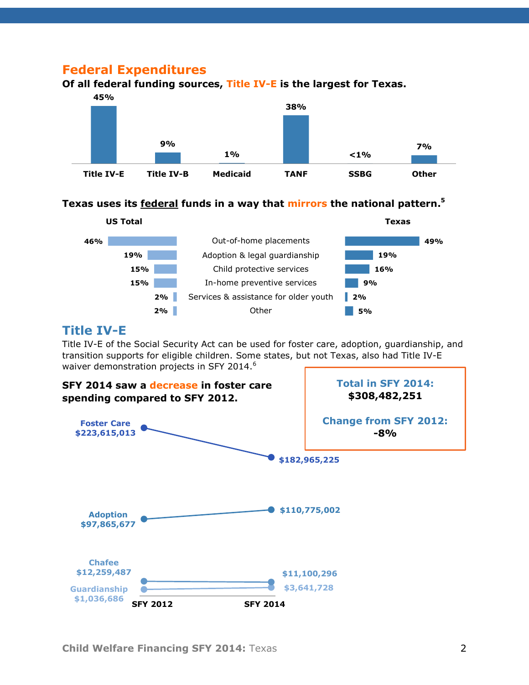## **Federal Expenditures**



**Of all federal funding sources, Title IV-E is the largest for Texas.**

#### **Texas uses its federal funds in a way that mirrors the national pattern. 5**



## **Title IV-E**

Title IV-E of the Social Security Act can be used for foster care, adoption, guardianship, and transition supports for eligible children. Some states, but not Texas, also had Title IV-E waiver demonstration projects in SFY 2014.<sup>6</sup>

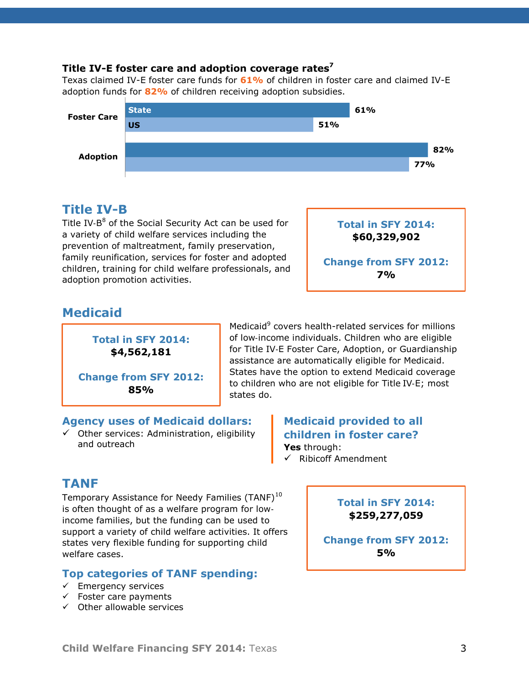#### **Title IV-E foster care and adoption coverage rates<sup>7</sup>**

Texas claimed IV-E foster care funds for **61%** of children in foster care and claimed IV-E adoption funds for **82%** of children receiving adoption subsidies.



## **Title IV-B**

Title IV-B<sup>8</sup> of the Social Security Act can be used for a variety of child welfare services including the prevention of maltreatment, family preservation, family reunification, services for foster and adopted children, training for child welfare professionals, and adoption promotion activities.



## **Medicaid**

**Total in SFY 2014: \$4,562,181**

**Change from SFY 2012: 85%**

#### Medicaid<sup>9</sup> covers health-related services for millions of low‐income individuals. Children who are eligible for Title IV‐E Foster Care, Adoption, or Guardianship assistance are automatically eligible for Medicaid. States have the option to extend Medicaid coverage to children who are not eligible for Title IV‐E; most states do.

#### **Agency uses of Medicaid dollars:**

 $\checkmark$  Other services: Administration, eligibility and outreach

#### **Medicaid provided to all children in foster care? Yes** through:  $\checkmark$  Ribicoff Amendment

# **TANF**

Temporary Assistance for Needy Families (TANF)<sup>10</sup> is often thought of as a welfare program for low‐ income families, but the funding can be used to support a variety of child welfare activities. It offers states very flexible funding for supporting child welfare cases.

## **Top categories of TANF spending:**

- $\checkmark$  Emergency services
- $\checkmark$  Foster care payments
- $\checkmark$  Other allowable services

#### **Total in SFY 2014: \$259,277,059**

**Change from SFY 2012: 5%**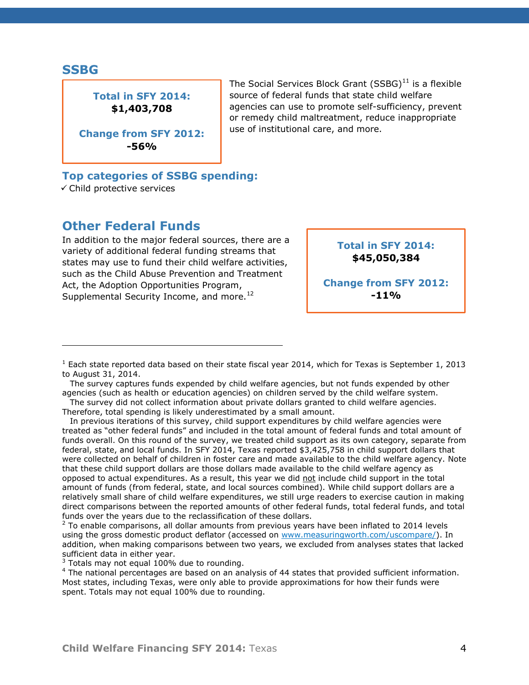#### **SSBG**

## **Total in SFY 2014: \$1,403,708**

**Change from SFY 2012: -56%**

The Social Services Block Grant  $(SSBG)^{11}$  is a flexible source of federal funds that state child welfare agencies can use to promote self-sufficiency, prevent or remedy child maltreatment, reduce inappropriate use of institutional care, and more.

#### **Top categories of SSBG spending:**

Child protective services

## **Other Federal Funds**

In addition to the major federal sources, there are a variety of additional federal funding streams that states may use to fund their child welfare activities, such as the Child Abuse Prevention and Treatment Act, the Adoption Opportunities Program, Supplemental Security Income, and more.<sup>12</sup>

**Total in SFY 2014: \$45,050,384**

**Change from SFY 2012: -11%**

In previous iterations of this survey, child support expenditures by child welfare agencies were treated as "other federal funds" and included in the total amount of federal funds and total amount of funds overall. On this round of the survey, we treated child support as its own category, separate from federal, state, and local funds. In SFY 2014, Texas reported \$3,425,758 in child support dollars that were collected on behalf of children in foster care and made available to the child welfare agency. Note that these child support dollars are those dollars made available to the child welfare agency as opposed to actual expenditures. As a result, this year we did not include child support in the total amount of funds (from federal, state, and local sources combined). While child support dollars are a relatively small share of child welfare expenditures, we still urge readers to exercise caution in making direct comparisons between the reported amounts of other federal funds, total federal funds, and total funds over the years due to the reclassification of these dollars.

 $2$  To enable comparisons, all dollar amounts from previous years have been inflated to 2014 levels using the gross domestic product deflator (accessed on [www.measuringworth.com/uscompare/\)](https://www.measuringworth.com/uscompare/index.php). In addition, when making comparisons between two years, we excluded from analyses states that lacked sufficient data in either year.

 $3$  Totals may not equal 100% due to rounding.

<sup>4</sup> The national percentages are based on an analysis of 44 states that provided sufficient information. Most states, including Texas, were only able to provide approximations for how their funds were spent. Totals may not equal 100% due to rounding.

 $1$  Each state reported data based on their state fiscal year 2014, which for Texas is September 1, 2013 to August 31, 2014.

The survey captures funds expended by child welfare agencies, but not funds expended by other agencies (such as health or education agencies) on children served by the child welfare system.

The survey did not collect information about private dollars granted to child welfare agencies. Therefore, total spending is likely underestimated by a small amount.